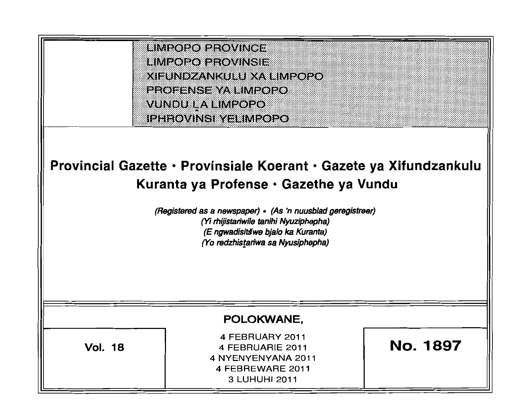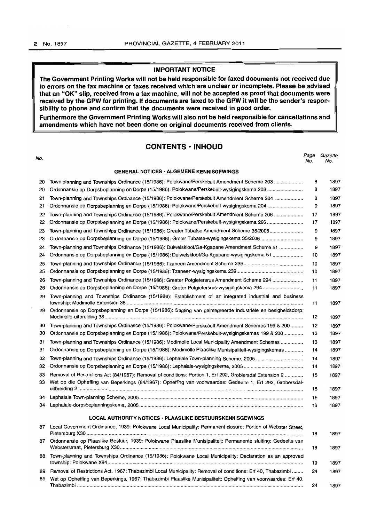# **IMPORTANT NOTICE**

**The Government Printing Works will not be held responsible for faxed documents not received due to errors on the fax machine or faxes received which are unclear or incomplete. Please be advised that an "OK" slip, received from a fax machine, will not be accepted as proof that documents were received by the GPW for printing. If documents are faxed to the GPW it will be the sender's responsibility to phone and confirm that the documents were received in good order.** 

**Furthermore the Government Printing Works will also not be held responsible for cancellations and amendments which have not been done on original documents received from clients.** 

# **CONTENTS • INHOUD**

| No. |                                                                                                               | Page<br>No. | Gazette<br>No. |
|-----|---------------------------------------------------------------------------------------------------------------|-------------|----------------|
|     | <b>GENERAL NOTICES · ALGEMENE KENNISGEWINGS</b>                                                               |             |                |
| 20  | Town-planning and Townships Ordinance (15/1986): Polokwane/Perskebult Amendment Scheme 203                    | 8           | 1897           |
| 20  | Ordonnansie op Dorpsbeplanning en Dorpe (15/1986): Polokwane/Perskebult-wysigingskema 203                     | 8           | 1897           |
| 21  | Town-planning and Townships Ordinance (15/1986): Polokwane/Perskebult Amendment Scheme 204                    | 8           | 1897           |
| 21  | Ordonnansie op Dorpsbeplanning en Dorpe (15/1986): Polokwane/Perskebult-wysigingskema 204                     | 9           | 1897           |
| 22  | Town-planning and Townships Ordinance (15/1986): Polokwane/Perskebult Amendment Scheme 206                    | 17          | 1897           |
| 22  | Ordonnansie op Dorpsbeplanning en Dorpe (15/1986): Polokwane/Perskebult-wysigingskema 206                     | 17          | 1897           |
| 23  | Town-planning and Townships Ordinance (15/1986): Greater Tubatse Amendment Scheme 35/2006                     | 9           | 1897           |
| 23  | Ordonnansie op Dorpsbeplanning en Dorpe (15/1986): Groter Tubatse-wysigingskema 35/2006                       | 9           | 1897           |
| 24  | Town-planning and Townships Ordinance (15/1986): Duiwelskloof/Ga-Kgapane Amendment Scheme 51                  | 9           | 1897           |
| 24  | Ordonnansie op Dorpsbeplanning en Dorpe (15/1986): Duiwelskloof/Ga-Kgapane-wysigingskema 51                   | 10          | 1897           |
| 25  |                                                                                                               | 10          | 1897           |
| 25  |                                                                                                               | 10          | 1897           |
| 26  | Town-planning and Townships Ordinance (15/1986): Greater Potgietersrus Amendment Scheme 294                   | 11          | 1897           |
| 26  |                                                                                                               | 11          | 1897           |
| 29  | Town-planning and Townships Ordinance (15/1986): Establishment of an integrated industrial and business       | 11          | 1897           |
| 29  | Ordonnansie op Dorpsbeplanning en Dorpe (15/1986): Stigting van geintegreerde industriële en besigheidsdorp:  |             |                |
|     |                                                                                                               | 12          | 1897           |
| 30  | Town-planning and Townships Ordinance (15/1986): Polokwane/Perskebult Amendment Schemes 199 & 200             | 12          | 1897           |
| 30  | Ordonnansie op Dorpsbeplanning en Dorpe (15/1986): Polokwane/Perskebult-wysigingskemas 199 & 200              | 13          | 1897           |
| 31  | Town-planning and Townships Ordinance (15/1986): Modimolle Local Municipality Amendment Schemes               | 13          | 1897           |
| 31  | Ordonnansie op Dorpsbeplanning en Dorpe (15/1986): Modimolle Plaaslike Munisipaliteit-wysigingskemas          | 14          | 1897           |
| 32  | Town-planning and Townships Ordinance (15/1986): Lephalale Town-planning Scheme, 2005                         | 14          | 1897           |
| 32  |                                                                                                               | 14          | 1897           |
| 33  | Removal of Restrictions Act (84/1967): Removal of conditions: Portion 1, Erf 292, Groblersdal Extension 2     | 15          | 1897           |
| 33  | Wet op die Opheffing van Beperkings (84/1967): Opheffing van voorwaardes: Gedeelte 1, Erf 292, Grobersdal-    |             |                |
|     |                                                                                                               | 15          | 1897           |
| 34  |                                                                                                               | 15          | 1897           |
| 34  |                                                                                                               | 16          | 1897           |
|     | <b>LOCAL AUTHORITY NOTICES · PLAASLIKE BESTUURSKENNISGEWINGS</b>                                              |             |                |
| 87  | Local Government Ordinance, 1939: Polokwane Local Municipality: Permanent closure: Portion of Webster Street, | 18          | 1897           |
| 87. | Ordonnansie op Plaaslike Bestuur, 1939: Polokwane Plaaslike Munisipaliteit: Permanente sluiting: Gedeelte van | 18          | 1897           |
| 88  | Town-planning and Townships Ordinance (15/1986): Polokwane Local Municipality: Declaration as an approved     | 19          | 1897           |
| 89  | Removal of Restrictions Act, 1967: Thabazimbi Local Municipality: Removal of conditions: Erf 40, Thabazimbi   | 24          | 1897           |

89 Wet op Opheffing van Beperkings, 1967: Thabazimbi Plaaslike Munisipaliteit: Opheffing van voorwaardes: Erf 40, Thabazimbi ......... .............................. ....... ..... ........................ ............................. ..... .... ......................... ...... ........... ......... 24 1897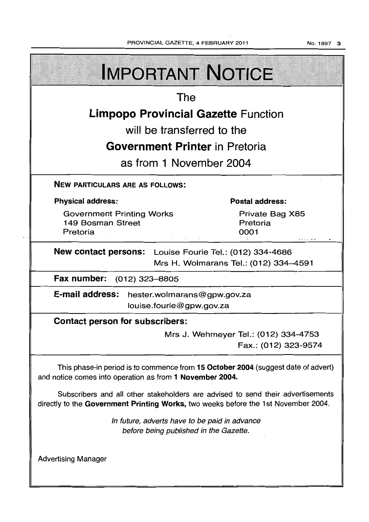$\overline{\phantom{a}}$ 

No.1897 3

| <b>IMPORTANT NOTICE</b>                                                                                                                                               |                                                              |  |  |  |  |
|-----------------------------------------------------------------------------------------------------------------------------------------------------------------------|--------------------------------------------------------------|--|--|--|--|
| The                                                                                                                                                                   |                                                              |  |  |  |  |
| <b>Limpopo Provincial Gazette Function</b>                                                                                                                            |                                                              |  |  |  |  |
| will be transferred to the                                                                                                                                            |                                                              |  |  |  |  |
| <b>Government Printer</b> in Pretoria                                                                                                                                 |                                                              |  |  |  |  |
| as from 1 November 2004                                                                                                                                               |                                                              |  |  |  |  |
| <b>NEW PARTICULARS ARE AS FOLLOWS:</b>                                                                                                                                |                                                              |  |  |  |  |
| <b>Physical address:</b>                                                                                                                                              | <b>Postal address:</b>                                       |  |  |  |  |
| <b>Government Printing Works</b><br>149 Bosman Street<br>Pretoria                                                                                                     | Private Bag X85<br>Pretoria<br>0001                          |  |  |  |  |
| <b>New contact persons:</b> Louise Fourie Tel.: (012) 334-4686<br>Mrs H. Wolmarans Tel.: (012) 334-4591                                                               |                                                              |  |  |  |  |
| Fax number: (012) 323-8805                                                                                                                                            |                                                              |  |  |  |  |
| E-mail address: hester.wolmarans@gpw.gov.za<br>louise.fourie@gpw.gov.za                                                                                               |                                                              |  |  |  |  |
| <b>Contact person for subscribers:</b>                                                                                                                                |                                                              |  |  |  |  |
|                                                                                                                                                                       | Mrs J. Wehmeyer Tel.: (012) 334-4753<br>Fax.: (012) 323-9574 |  |  |  |  |
| This phase-in period is to commence from 15 October 2004 (suggest date of advert)<br>and notice comes into operation as from 1 November 2004.                         |                                                              |  |  |  |  |
| Subscribers and all other stakeholders are advised to send their advertisements<br>directly to the Government Printing Works, two weeks before the 1st November 2004. |                                                              |  |  |  |  |
| In future, adverts have to be paid in advance<br>before being published in the Gazette.                                                                               |                                                              |  |  |  |  |
| <b>Advertising Manager</b>                                                                                                                                            |                                                              |  |  |  |  |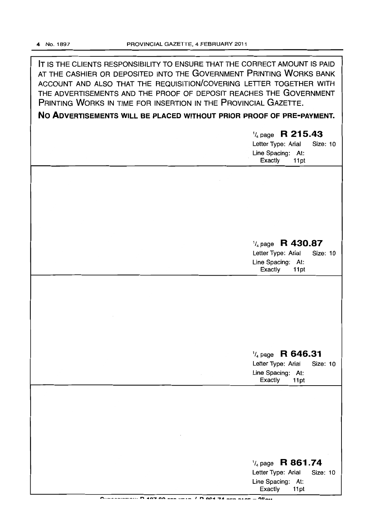IT IS THE CLIENTS RESPONSIBILITY TO ENSURE THAT THE CORRECT AMOUNT IS PAID AT THE CASHIER OR DEPOSITED INTO THE GOVERNMENT PRINTING WORKS BANK ACCOUNT AND ALSO THAT THE REQUISITION/COVERING LETTER TOGETHER WITH THE ADVERTISEMENTS AND THE PROOF OF DEPOSIT REACHES THE GOVERNMENT PRINTING WORKS IN TIME FOR INSERTION IN THE PROVINCIAL GAZETTE.

No ADVERTISEMENTS WILL BE PLACED WITHOUT PRIOR PROOF OF PRE-PAYMENT.

| $\frac{1}{4}$ page R 215.43<br>Letter Type: Arial<br>Size: 10<br>Line Spacing: At:<br>Exactly<br>11pt        |
|--------------------------------------------------------------------------------------------------------------|
|                                                                                                              |
|                                                                                                              |
| $\frac{1}{4}$ page R 430.87<br>Letter Type: Arial<br><b>Size: 10</b><br>Line Spacing: At:<br>Exactly<br>11pt |
|                                                                                                              |
|                                                                                                              |
| $\frac{1}{4}$ page R 646.31<br>Letter Type: Arial<br><b>Size: 10</b><br>Line Spacing: At:<br>Exactly<br>11pt |
|                                                                                                              |
|                                                                                                              |
| $\frac{1}{4}$ page R 861.74<br>Letter Type: Arial<br>Size: 10<br>Line Spacing: At:<br>Exactly<br>11pt        |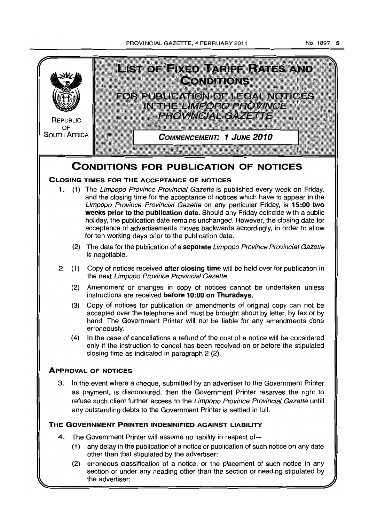# PROVINCIAL GAZETTE, 4 FEBRUARY 2011

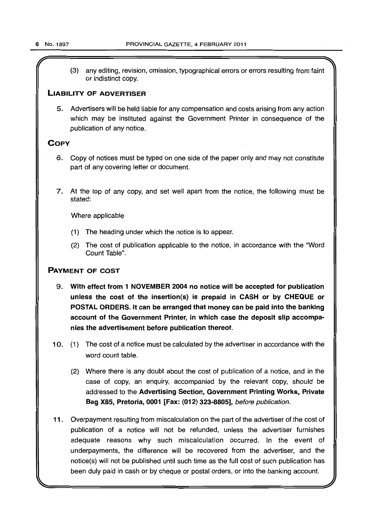(3) any editing, revision, omission, typographical errors or errors resulting from faint or indistinct copy.

# LIABILITY OF ADVERTISER

5. Advertisers will be held liable for any compensation and costs arising from any action which may be instituted against the Government Printer in consequence of the publication of any notice.

# **COPY**

- 6. Copy of notices must be typed on one side of the paper only and may not constitute part of any covering letter or document.
- 7. At the top of any copy, and set well apart from the notice, the following must be stated:

Where applicable

- (1) The heading under which the notice is to appear.
- (2) The cost of publication applicable to the notice, in accordance with the "Word Count Table".

# PAYMENT OF COST

- 9. With effect from 1 NOVEMBER 2004 no notice will be accepted for publication unless the cost of the insertion{s) is prepaid in CASH or by CHEQUE or POSTAL ORDERS. It can be arranged that money can be paid into the banking account of the Government Printer, in which case the deposit slip accompanies the advertisement before publication thereof.
- 10. (1) The cost of a notice must be calculated by the advertiser in accordance with the word count table.
	- (2) Where there is any doubt about the cost of publication of a notice, and in the case of copy, an enquiry, accompanied by the relevant copy, should be addressed to the Advertising Section, Government Printing Works, Private Bag X85, Pretoria, 0001 [Fax: (012) 323-8805], before publication.
- 11 . Overpayment resulting from miscalculation on the part of the advertiser of the cost of publication of a notice will not be refunded, unless the advertiser furnishes adequate reasons why such miscalculation occurred. In the event of underpayments, the difference will be recovered from the advertiser, and the notice{s) will not be published until such time as the full cost of such publication has been duly paid in cash or by cheque or postal orders, or into the banking account.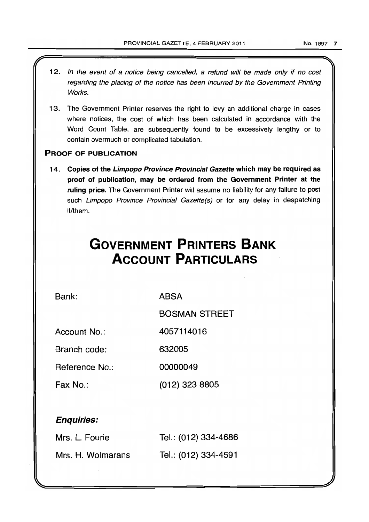- 12. In the event of a notice being cancelled, a refund will be made only if no cost regarding the placing of the notice has been incurred by the Government Printing Works.
- 13. The Government Printer reserves the right to levy an additional charge in cases where notices, the cost of which has been calculated in accordance with the Word Count Table, are subsequently found to be excessively lengthy or to contain overmuch or complicated tabulation.

# PROOF OF PUBLICATION

14. Copies of the Limpopo Province Provincial Gazette which may be required as proof of publication, may be ordered from the Government Printer at the ruling price. The Government Printer will assume no liability for any failure to post such Limpopo Province Provincial Gazette(s) or for any delay in despatching it/them.

# **GOVERNMENT PRINTERS BANK ACCOUNT PARTICULARS**

Bank:

ABSA

BOSMAN STREET

Account No.: 4057114016

Branch code: 632005

Reference No.: 00000049

Fax No.: (012) 323 8805

# Enquiries:

| Mrs. L. Fourie    | Tel.: (012) 334-4686 |
|-------------------|----------------------|
| Mrs. H. Wolmarans | Tel.: (012) 334-4591 |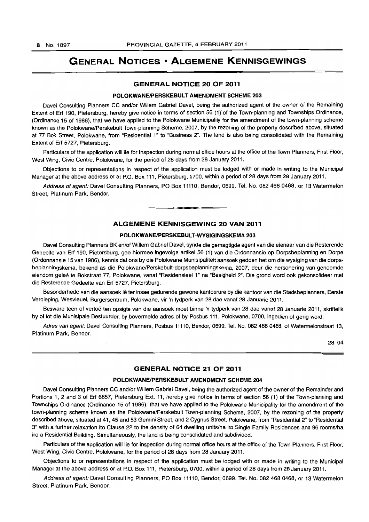# **GENERAL NOTICES • ALGEMENE KENNISGEWINGS**

# **GENERAL NOTICE 20 OF 2011**

#### **POLOKWANEIPERSKEBULT AMENDMENT SCHEME** 203

Davel Consulting Planners CC and/or Willem Gabriel Davel, being the authorized agent of the owner of the Remaining Extent of Erf 190, Pietersburg, hereby give notice in terms of section 56 (1)" of the Town-planning and Townships Ordinance, (Ordinance 15 of 1986), that we have applied to the Polokwane Municipality for the amendment of the town-planning scheme known as the Polokwane/Perskebult Town-planning Scheme, 2007, by the rezoning of the property described above, situated at 77 Bok Street, Polokwane, from "Residential 1" to "Business 2". The land is also being consolidated with the Remaining Extent of Erf 5727, Pietersburg.

Particulars of the application will lie for inspection during normal office hours at the office of the Town Planners, First Floor, West Wing, Civic Centre, Polokwane, for the period of 28 days from 28 January 2011.

Objections to or representations in respect of the application must be lodged with or made in writing to the Municipal Manager at the above address or at P.O. Box 111, Pietersburg, 0700, within a period of 28 days from 28 January 2011.

Address of agent: Davel Consulting Planners, PO Box 11110, Bendor, 0699. Tel. No. 082 468 0468, or 13 Watermelon Street, Platinum Park, Bendor. . **-.** 

### **ALGEMENE KENNISGEWING 20 VAN 2011**

# **POLOKWANEIPERSKEBULT-WVSIGINGSKEMA** 203

Davel Consulting Planners BK en/of Willem Gabriel Davel, synde die gemagtigde agent van die eienaar van die Resterende Gedeelte van Erf 190, Pietersburg, gee hiermee ingevolge artikel 56 (1) van die Ordonnansie op Dorpsbeplanning en Dorpe (Ordonnansie 15 van 1986), kennis dat ons by die Polokwane Munisipaliteit aansoek gedoen het om die wysiging van die dorpsbeplanningskema, bekend as die Polokwane/Perskebutt-dorpsbeplanningskema, 2007, deur die hersonering van genoemde eiendom geleë te Bokstraat 77, Polokwane, vanaf "Residensieel 1" na "Besigheid 2". Die grond word ook gekonsolideer met die Resterende Gedeelte van Erf 5727, Pietersburg.

Besonderhede van die aansoek Ie ter insae gedurende gewone kantoorure by die kantoor van die Stadsbeplanners, Eerste Verdieping, Wesvleuel, Burgersentrum, Polokwane, vir 'n tydperk van 28 dae vanaf 28 Januarie 2011.

Besware teen of vertoë ten opsigte van die aansoek moet binne 'n tydperk van 28 dae vanaf 28 Januarie 2011, skriftelik by of tot die Munisipale Bestuurder, by bovermelde adres of by Posbus 111, Polokwane, 0700, ingedien of gerig word.

Adres van agent: Davel Consulting Planners, Posbus 11110, Bendor, 0699. Tel. No. 082 468 0468, of Watermelonstraat 13, Platinum Park, Bendor.

28-04

# **GENERAL NOTICE 21 OF 2011**

#### **POLOKWANEIPERSKEBULT AMENDMENT SCHEME** 204

Davel Consulting Planners CC and/or Willem Gabriel Davel, being the authorized agent of the owner of the Remainder and Portions 1, 2 and 3 of Erf 6857, Pietersburg Ext. 11, hereby give notice in terms of section 56 (1) of the Town-planning and Townships Ordinance (Ordinance 15 of 1986), that we have applied to the Polokwane Municipality for the amendment of the town-planning scheme known as the Polokwane/Perskebult Town-planning Scheme, 2007, by the rezoning of the property described above, situated at 41,45 and 53 Gemini Street, and 2 Cygnus Street, Polokwane, from "Residential 2" to "Residential 3" with a further relaxation ito Clause 22 to the density of 64 dwelling units/ha iro Single Family Residences and 96 rooms/ha iro a Residential Building. Simultaneously, the land is being consolidated and subdivided.

Particulars of the application will lie for inspection during normal office hours at the office of the Town Planners, First Floor, West Wing, Civic Centre, Polokwane, for the period of 28 days from 28 January 2011.

Objections to or representations in respect of the application must be lodged with or made in writing to the Municipal Manager at the above address or at P.O. Box 111, Pietersburg, 0700, within a period of 28 days from 28 January 2011.

Address of agent: Davel Consulting Planners, PO Box 11110, Bendor, 0699. Tel. No. 082 468 0468, or 13 Watermelon Street, Platinum Park, Bendor.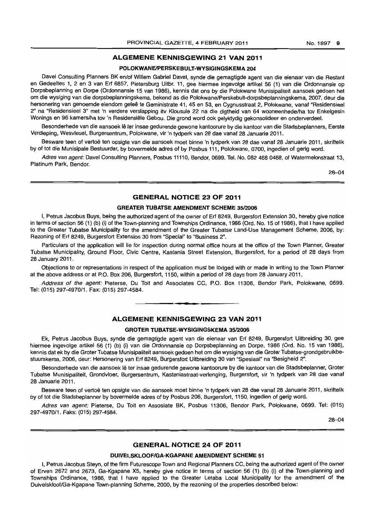# **ALGEMENE KENNISGEWING 21 VAN 2011**

#### **POLOKWANEIPERSKEBULT-WYSIGINGSKEMA 204**

Davel Consulting Planners BK en/of Willem Gabriel Davel, synde die gemagtigde agent van die eienaar van die Restant en Gedeeltes 1, 2 en 3 van Erf 6857, Pietersburg Uitbr. 11, gee hiermee ingevolge artikel 56 (1) van die Ordonnansie op Dorpsbeplanning en Dorpe (Ordonnansie 15 van 1986), kennis dat ons by die Polokwane Munisipaliteit aansoek gedoen het om die wysiging van die dorpsbeplanningskema, bekend as die Polokwane/Perskebult-dorpsbeplanningskema, 2007, deur die hersonering van genoemde eiendom geleë te Geministrate 41, 45 en 53, en Cygnusstraat 2, Polokwane, vanaf "Residensieel 2" na "Residensieel 3" met 'n verdere verslapping itv Klousule 22 na die digtheid van 64 wooneenhede/ha tov Enkelgesin Wonings en 96 kamers/ha tov 'n Residensiële Gebou. Die grond word ook gelyktydig gekonsolideer en onderverdeel.

Besonderhede van die aansoek lê ter insae gedurende gewone kantoorure by die kantoor van die Stadsbeplanners, Eerste Verdieping, Wesvleuel, Burgersentrum, Polokwane, vir 'n tydperk van 28 dae vanaf 28 Januarie 2011.

Besware teen of vertoë ten opsigte van die aansoek moet binne 'n tydperk van 28 dae vanaf 28 Januarie 2011, skriftelik by of tot die Munlsipale Bestuurder, by bovermelde adres of by Posbus 111, Polokwane, 0700, ingedien of gerig word.

Adres van agent: Davel Consulting Planners, Posbus 11110, Bendor, 0699, Tel. No. 082 468 0468, of Watermelonstraat 13, Platinum Park, Bendor.

28-04

# **GENERAL NOTICE 23 OF 2011**

#### **GREATER TUBATSE AMENDMENT SCHEME 35/2006**

I, Petrus Jacobus Buys, being the authorized agent of the owner of Erf 8249, Burgersfort Extension 30, hereby give notice in terms of section 56 (1) (b) (i) of the Town-planning and Townships Ordinance, 1986 (Ord. No. 15 of 1986), that I have applied to the Greater Tubatse Municipality for the amendment of the Greater Tubatse Land-Use Management Scheme, 2006, by: Rezoning of Erf 8249, Burgersfort Extension 30 from "Special" to "Business 2".

Particulars of the application will lie for inspection during normal office hours at the office of the Town Planner, Greater Tubatse Municipality, Ground Floor, Civic Centre, Kastania Street Extension, Burgersfort, for a period of 28 days from 28 January 2011.

Objections to or representations in respect of the application must be lodged with or made in writing to the Town Planner at the above address or at P.O. Box 206, Burgersfort, 1150, within a period of 28 days from 28 January 2011.

Address of the agent: Pieterse, Du Toit and Associates CC, P.O. Box 11306, Bendor Park, Polokwane, 0699. Tel: (015) 297-4970/1. Fax: (015) 297-4584.

**- .** 

# **ALGEMENE KENNISGEWING 23 VAN 2011**

#### **GROTER TUBATSE-WYSIGINGSKEMA 35/2006**

Ek, Petrus Jacobus Buys, synde die gemagtigde agent van die eienaar van Erf 8249, Burgersfort Uitbreiding 30, gee hiermee ingevolge artikel 56 (1) (b) (i) van die Ordonnansie op Dorpsbeplanning en Dorpe, 1986 (Ord. No. 15 van 1986), kennis dat ek by die Groter Tubatse Munisipaliteit aansoek gedoen het om die wysiging van die Groter Tubatse-grondgebruikbestuurskema, 2006, deur: Hersonering van Erf 8249, Burgersfort Uitbreiding 30 van "Spesiaal" na "Besigheid 2".

Besonderhede van die aansoek Ie ter insae gedurende gewone kantoorure by die kantoor van die Stadsbeplanner, Groter Tubatse Munisipaliteit, Grondvloer, Burgersentrum, Kastaniastraat-verlenging, Burgersfort, vir 'n tydperk van 28 dae vanaf 28 Januarie 2011.

Besware teen of vertoë ten opsigte van die aansoek moet binne 'n tydperk van 28 dae vanaf 28 Januarie 2011, skriftelik by of tot die Stadsbeplanner by bovermelde adres of by Posbus 206, Burgersfort, 1150, ingedien of gerig word.

Adres van agent: Pieterse, Du Toit en Assosiate BK, Posbus 11306, Bendor Park, Polokwane, 0699. Tel: (015) 297-4970/1. Faks: (015) 297-4584.

28-04

# **GENERAL NOTICE 24 OF 2011**

#### **DUIVELSKLOOF/GA-KGAPANE AMENDMENT SCHEME 51**

I, Petrus Jacobus Steyn, of the firm Futurescope Town and Regional Planners CC, being the authorized agent of the owner of Erven 2672 and 2673, Ga-Kgapane X5, hereby give notice in terms of section 56 (1) (b) (i) of the Town-planning and Townships Ordinance, 1986, that I have applied to the Greater Letaba Local Municipality for the amendment of the Duivelskloof/Ga-Kgapane Town-planning Scheme, 2000, by the rezoning of the properties described below: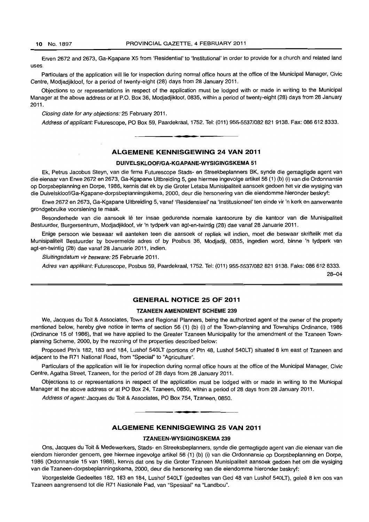Erven 2672 and 2673, Ga-Kgapane X5 from 'Residential' to 'Institutional' in order to provide for a church and related land uses.

Particulars of the application will lie for inspection during normal office hours at the office of the Municipal Manager, Civic Centre, Modjadjikloof, for a period of twenty-eight (28) days from 28 January 2011.

Objections to or representations in respect of the application must be lodged with or made in writing to the Municipal Manager at the above address or at P.O. Box 36, Modjadjikloof, 0835, within a period of twenty-eight {28} days from 28 January 2011.

Closing date for any objections: 25 February 2011.

Address of applicant: Futurescope, PO Box 59. Paardekraal. 1752. Tel: (011) 955-5537/082 821 9138. Fax: 086 612 8333.

# ALGEMENE KENNISGEWING 24 VAN 2011

**• •** 

#### DUIVELSKLOOF/GA-KGAPANE-WYSIGINGSKEMA 51

Ek, Petrus Jacobus Steyn, van die firma Futurescope Stads- en Streekbeplanners BK, synda die gemagtigde agent van die aienaar van Erwe 2672 en 2673, Ga-Kgapane Uitbreiding 5, gee hiermee ingevolge artikel 56 (1) (b) (i) van die Ordonnansie op Dorpsbeplanning en Dorpe. 1986. kennis dat ek by die Grater Letaba Munisipaliteit aansoek gedoen het vir die wysiging van die Duivelskloof/Ga-Kgapane-dorpsbeplanningskema, 2000. deur die hersonering van die eiendomme hieronder beskryf:

Erwe 2672 en 2673. Ga-Kgapane Uitbreiding 5, vanaf 'Residensieel' na 'tnstitusioneel' ten einde vir 'n kerk en aanverwante grondgebruike voorsiening te maak.

Besonderhede van die aansoek lê ter insae gedurende normale kantoorure by die kantoor van die Munisipaliteit Bestuurder, Burgersentrum, Modjadjikloof, vir 'n tydperk van agt-en-twintig (28) dae vanaf 28 Januarie 2011.

Enige persoon wie beswaar wil aanteken teen die aansoek of repliek wil indien, moet die beswaar skriftelik met die Munisipaliteit Bestuurder by bovermelde adres of by Posbus 36, Modjadji, 0835, ingedien word, binne 'n tydperk van agt-en-twintig (28) dae vanaf 28 Januarie 2011, indien.

Sluitingsdatum vir besware: 25 Februarie 2011.

Adres van applikant: Futurescope, Posbus 59, Paardekraal, 1752. Tel: (011) 955-5537/082 821 9138. Faks: 086 612 8333.

28-04

# GENERAL NOTICE 25 OF 2011

#### TZANEEN AMENDMENT SCHEME 239

We, Jacques du Toit & ASSOciates, Town and Regional Planners, being the authorized agent of the owner of the property mentioned below, hereby give notice in terms of section 56 (1) (b) (i) of the Town-planning and Townships Ordinance, 1986 (Ordinance 15 of 1986), that we have applied to the Greater Tzaneen Municipality for the amendment of the Tzaneen Townplanning Scheme, 2000, by the rezoning of the properties described below:

Proposed Ptn's 182, 183 and 184, Lushof 540LT (portions of Ptn 48, Lushof 540LT) situated 8 km east of Tzaneen and adjacent to the R71 National Road, from "Special" to "Agriculture".

Particulars of the application will lie for inspection during normal office hours at the office of the Municipal Manager, Civic Centre, Agatha Street, Tzaneen, for the period of 28 days from 28 January 2011.

Objections to or representations in respect of the application must be lodged with or made in writing to the Municipal Manager at the above address or at PO Box 24, Tzaneen, 0850, within a period of 28 days from 28 January 2011.

Address of agent: Jacques du Toit & Associates, PO Box 754, Tzaneen, 0850.

# ALGEMENE KENNISGEWING 25 VAN 2011

**•** 

#### TZANEEN-WYSIGINGSKEMA 239

Ons, Jacques du Toil & Medewerkers, Stads- en Streeksbeplanners, synde die gemagtigde agent van die eienaar van die eiendom hieronder genoem, gee hiermee ingevolge artikel 56 (1) (b) (i) van die Ordonnansie op Dorpsbeplanning en Dorpe, 1986 (Ordonnansie 15 van 1986), kennis dat ons by die Groter Tzaneen Munisipaliteit aansoek gedoen het om die wysiging van die Tzaneen-dorpsbeplanningskema, 2000, deur die hersonering van die eiendomme hieronder beskryf:

Voorgestelde Gedeeltes 182, 183 en 184, Lushof 540LT (gedeeltes van Ged 48 van Lushof 540LT), gelee 8 km oos van Tzaneen aangrensend tot die R71 Nasionale Pad, van "Spesiaal" na "Landbou".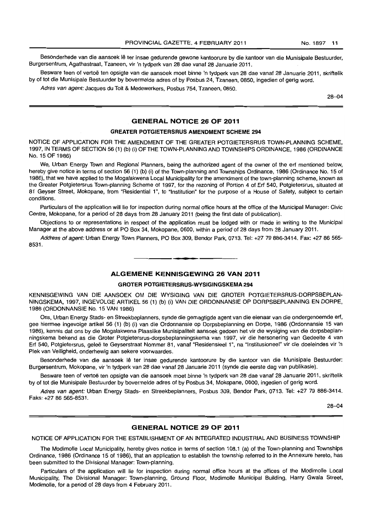Besonderhede van die aansoek lê ter insae gedurende gewone kantoorure by die kantoor van die Munisipale Bestuurder, Burgersentrum, Agathastraat, Tzaneen, vir 'n tydperk van 28 dae vanaf 28 Januarie 2011.

Besware teen of vertoë ten opsigte van die aansoek moet binne 'n tydperk van 28 dae vanaf 28 Januarie 2011, skriftelik by of tot die Munisipale Bestuurder by bovermelde adres of by Posbus 24, Tzaneen, 0850, ingedien of gerig word.

Adres van agent: Jacques du Toit & Medewerkers, Posbus 754, Tzaneen, 0850.

28-04

# GENERAL NOTICE 26 OF 2011

# GREATER POTGIETERSRUS AMENDMENT SCHEME 294

NOTICE OF APPLICATION FOR THE AMENDMENT OF THE GREATER POTGIETERSRUS TOWN-PLANNING SCHEME, 1997, IN TERMS OF SECTION 56 (1) (b) (i) OF THE TOWN-PLANNING AND TOWNSHIPS ORDINANCE, 1986 (ORDINANCE No. 15 OF 1986)

We, Urban Energy Town and Regional Planners, being the authorized agent of the owner of the erf mentioned below, hereby give notice in terms of section 56 (1) (b) (i) of the Town-planning and Townships Ordinance, 1986 (Ordinance No. 15 of 1986), that we have applied to the Mogalakwena Local Municipality for the amendment of the town-planning scheme, known as the Greater Potgietersrus Town-planning Scheme of 1997, for the rezoning of Portion 4 of Erf 540, Potgietersrus, situated at 81 Geyser Street, Mokopane, from "Residential 1", to "Institution" for the purpose of a House of Safety, subject to certain conditions.

Particulars of the application will lie for inspection during normal office hours at the office of the Municipal Manager: Civic Centre, Mokopane, for a period of 28 days from 28 January 2011 (being the first date of publication).

Objections to or representations in respect of the application must be lodged with or made in writing to the Municipal Manager at the above address or at PO Box 34, Mokopane, 0600, within a period of 28 days from 28 January 2011.

Address of agent: Urban Energy Town Planners, PO Box 309, Bendor Park, 0713. Tel: +27 79 886-3414. Fax: +27 86 565-8531. **-.** 

# ALGEMENE KENNISGEWING 26 VAN 2011

#### GROTER POTGIETERSRUS-WYSIGINGSKEMA 294

KENNISGEWING VAN DIE AANSOEK OM DIE WYSIGING VAN DIE GROTER POTGIETERSRUS-DORPSBEPLAN-NINGSKEMA, 1997, INGEVOLGE ARTIKEL 56 (1) (b) (i) VAN DIE ORDONNANSIE OP DORPSBEPLANNING EN DORPE, 1986 (ORDONNANSIE No. 15 VAN 1986)

Ons, Urban Energy Stads- en Streekbeplanners, synde die gemagtigde agent van die eienaar van die ondergenoemde erf, gee hiermee ingevolge artikel 56 (1) (b) (i) van die Ordonnansie op Dorpsbeplanning en Dorpe, 1986 (Ordonnansie 15 van 1986), kennis dat ons by die Mogalakwena Plaaslike Munisipaliteit aansoek gedoen het vir die wysiging van die dorpsbeplanningskema bekend as die Groter Potgietersrus-dorpsbeplanningskema van 1997, vir die hersonering van Gedeelte 4 van Erf 540, Potgietersrus, gelee te Geyserstraat Nommer 81, vanaf "Residensieel 1", na "Institusioneel" vir die doeleindes vir 'n Plek van Veiligheid, onderhewig aan sekere voorwaardes.

Besonderhede van die aansoek lê ter insae gedurende kantoorure by die kantoor van die Munisipale Bestuurder: Burgersentrum, Mokopane, vir 'n tydperk van 28 dae vanaf 28 Januarie 2011 (synde die eerste dag van publikasie).

Besware teen of vertoë ten opsigte van die aansoek moet binne 'n tydperk van 28 dae vanaf 28 Januarie 2011, skriftelik by of tot die Munisipale Bestuurder by bovermelde adres of by Posbus 34, Mokopane, 0600, ingedien of gerig word.

Adres van agent: Urban Energy Stads- en Streekbeplanners, Posbus 309, Bendor Park, 0713. Tel: +2779 886-3414. Faks: +27 86 565-8531.

28-04

# GENERAL NOTICE 29 OF 2011

NOTICE OF APPLICATION FOR THE ESTABLISHMENT OF AN INTEGRATED INDUSTRIAL AND BUSINESS TOWNSHIP

The Modimolle Local Municipality, hereby gives notice in terms of section 108.1 (a) of the Town-planning and Townships Ordinance, 1986 (Ordinance 15 of 1986), that an application to establish the township referred to in the Annexure hereto, has been submitted to the Divisional Manager: Town-planning.

Particulars of the application will lie for inspection during normal office hours at the offices of the Modimolle Local Municipality, The Divisional Manager: Town-planning, Ground Floor, Modimolle Municipal Building, Harry Gwala Street, Modimolle, for a period of 28 days from 4 February 2011.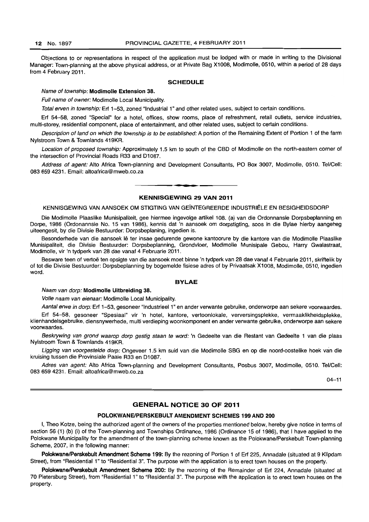Objections to or representations in respect of the application must be lodged with or made in writing to the Divisional Manager: Town-planning at the above physical address, or at Private Bag X1008, Modimolle, 0510, within a period of 28 days from 4 February 2011.

#### SCHEDULE

#### Name of township: Modimolle Extension 38.

Full name of owner: Modimolle Local Municipality.

Total erven in township: Erf 1-53, zoned "Industrial 1" and other related uses, subject to certain conditions.

Erf 54-58, zoned "Special" for a hotel, offices, show rooms, place of refreshment, retail outlets, service industries, multi-storey, residential component, place of entertainment, and other related uses, subject to certain conditions.

Description of land on which the township is to be established: A portion of the Remaining Extent of Portion 1 of the farm Nylstroom Town & Townlands 419KR.

Location of proposed township: Approximately 1.5 km to south of the CBD of Modimolle on the north-eastern corner of the intersection of Provincial Roads R33 and D1087.

Address of agent: Alto Africa Town-planning and Development Consultants, PO Box 3007, Modimolle, 0510. Tel/Cell: 083 659 4231. Email: altoafrica@mweb.co.za

### KENNISGEWING 29 VAN 2011

**• a** 

KENNISGEWING VAN AANSOEK OM STIGTING VAN GEINTEGREERDE INDUSTRIELE EN BESIGHEIDSDORP

Die Modimolle Plaaslike Munisipaliteit, gee hiermee ingevolge artikel 108. (a) van die Ordonnansie Dorpsbeplanning en Dorpe, 1986 (Ordonannsie No. 15 van 1986), kennis dat 'n aansoek om dorpstigting, soos in die Bylae hierby aangeheg uiteengesit, by die Divisie Bestuurder: Dorpsbeplaning, ingedien is.

Besonderhede van die aansoek lê ter insae gedurende gewone kantoorure by die kantore van die Modimolle Plaaslike Munisipaliteit, die Divisie Bestuurder: Dorpsbeplanning, Grondvloer. Modimolle Munisipale Gebou, Harry Gwalastraat. Modimolle, vir 'n tydperk van 28 dae vanaf 4 Februarie 2011.

Besware teen of vertoë ten opsigte van die aansoek moet binne 'n tydperk van 28 dae vanaf 4 Februarie 2011, skriftelik by of tot die Divisie Bestuurder: Dorpsbeplanning by bogemelde fisiese adres of by Privaatsak X1008, Modimolle, 0510, ingedien word.

### BVLAE

#### Naam van dorp: Modimolle Uitbrelding 38.

Volle naam van eienaar: Modimolle Local Municipality.

Aantal erwe in dorp: Erf 1-53, gesoneer "Industrieel 1" en ander verwante gebruike, onderworpe aan sekere voorwaardes.

Erf 54-58, gesoneer "Spesiaal" vir 'n hotel, kantore, vertoonlokale, verversingsplekke, vermaaklikheidsplekke, klienhandelsgebruike, diensnywerhede, multi verdieping woonkomponent en ander verwante gebruike, onderworpe aan sekere voorwaardes.

Beskrywing van grond waarop dorp gestig staan te word: 'n Gedeelte van die Restant van Gedeelte 1 van die plaas Nylstroom Town & Townlands 419KR.

Ligging van voorgestelde dorp: Ongeveer 1.5 km suid van die Modimolle SBG en op die noord-oostelike hoek van die kruising tussen die Provinsiale Paaie R33 en D1087.

Adres van agent: Alto Africa Town-planning and Development Consultants, Posbus 3007, Modimolle, 0510. Tel/Cell: 083 659 4231. Email: altoafrica@mweb.co.za

 $04 - 11$ 

# GENERAL NOTICE 30 OF 2011

#### POLOKWANE/PERSKEBULT AMENDMENT SCHEMES 199 AND 200

I, Theo Kotze, being the authorized agent of the owners of the properties mentioned below, hereby give notice in terms of section 56 (1) (b) (i) of the Town-planning and Townships Ordinance, 1986 (Ordinance 15 of 1986), that I have applied to the Polokwane Municipality for the amendment of the town-planning scheme known as the Polokwane/Perskebult Town-planning Scheme, 2007, in the following manner:

Polokwane/Perskebult Amendment Scheme 199: By the rezoning of Portion 1 of Erf 225, Annadale (situated at 9 Klipdam Street), from "Residential 1" to "Residential 3". The purpose with the application is to erect town houses on the property.

Polokwane/Perskebult Amendment Scheme 200: By the rezoning of the Remainder of Erf 224, Annadale (situated at 70 Pietersburg Street), from "Residential 1" to "Residential 3". The purpose with the application is to erect town houses on the property.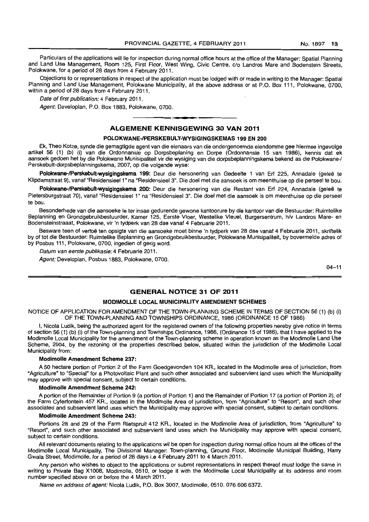Particulars of the applications will lie for inspection during normal office hours at the office of the Manager: Spatial Planning and Land Use Management, Room 125, First Floor, West Wing, Civic Centre, c/o Landros Mare and Bodenstein Streets, Polokwane, for a period of 28 days from 4 February 2011.

Objections to or representations in respect of the application must be lodged with or made in writing to the Manager: Spatial Planning and Land Use Management, Polokwane Municipality, at the above address or at P.O. Box 111, Polokwane, 0700, within a period of 28 days from 4 February 2011.

Date of first publication: 4 February 2011.

Agent: Developlan, P.O. Box 1883, Polokwane, 0700.

# • **• •**  ALGEMENE KENNISGEWING 30 VAN 2011

# POLOKWANE-/PERSKEBULT-WYSIGINGSKEMAS 199 EN 200

Ek. Thea Kotze, synde die gemagtigde agent van die eienaars van die ondergenoemde eiendomme gee hiermee ingevolge artikel 56 (1) (b) (i) van die Ordonnansie op Dorpsbeplaning en Dorpe (Ordonnansie 15 van 1986), kennis dat ek aansoek gedoen het by die Polokwane Munisipaliteit vir die wysiging van die dorpsbeplanningskema bekend as die Polokwane-/ Perskebult-dorpsbeplanningskema. 2007. op die volgende wyse:

Polokwane-/Perskebult-wysigingskema 199: Deur die hersonering van Gedeelte 1 van Erf 225, Annadale (geleë te Klipdamstraat 9), vanaf "Residensieel 1" na "Residensieel 3". Die doel met die aansoek is om meenthuise op die perseel te bou.

Polokwane-/Perskebult-wysigingskema 200: Deur die hersonering van die Restant van Erf 224, Annadale (geleë te Pietersburgstraat 70). vanaf "Residensieel 1" na "Residensieel 3". Die doel met die aansoek is om meenthuise op die perseel te bou.

Besonderhede van die aansoeke Ie ter insae gedurende gewone kantoorure by die kantoor van die Bestuurder: Ruimtelike Beplanning en Grondgebruikbestuurder. Kamer 125, Eerste Vloer. Westelike Vleuel, Burgersentrum. h/v Landros Mare- en Bodensteinstraaat. Polokwane, vir 'n tydperk van 28 dae vanaf 4 Februarie 2011.

Besware teen of vertoë ten opsigte van die aansoeke moet binne 'n tydperk van 28 dae vanaf 4 Februarie 2011, skriftelik by of tot die Bestuurder: Ruimtelike Beplanning en Grondgebruikbestuurder, Polokwane Munisipaliteit, by bovermelde adres of by Posbus 111, Polokwane, 0700, ingedien of gerig word.

Datum van eerste publikasie: 4 Februarie 2011.

Agent: Developlan, Posbus 1883. Polokwane, 0700.

 $04 - 11$ 

# GENERAL N01"ICE 31 OF 2011

# MODIMOLLE LOCAL MUNICIPALITY AMENDMENT SCHEMES

NOTICE OF APPLICATION FOR AMENDMENT OF THE TOWN-PLANNING SCHEME IN TERMS OF SECTION 56 (1) (b) (i) OF THE TOWN-PLANNING AND TOWNSHIPS ORDINANCE, 1986 (ORDINANCE 15 OF 1986)

I, Nicola Ludik, being the authorized agent for the registered owners of the following properties hereby give notice in terms of section 56 (1) (b) (i) of the Town-planning and Townships Ordinance, 1986, (Ordinance 15 of 1986), that I have applied to the Modimolle Local Municipality for the amendment of the Town-planning scheme in operation known as the Modimolle Land Use Scheme, 2004, by the rezoning of the properties described below, situated within the jurisdiction of the Modimolle Local Municipality from:

### Modimolle Amendment Scheme 237:

A 50 hectare portion of Portion 2 of the Farm Goedgevonden 104 KR., located in the Modimolle area of jurisdiction, from "Agriculture" to "Special" for a Photovoltaic Plant and such other associated and subservient land uses which the Municipality may approve with special consent, subject to certain conditions.

#### Modimolle Amendment Scheme 242:

A portion of the Remainder of Portion 9 (a portion of Portion 1) and the Remainder of Portion 17 (a portion of Portion 2), of the Farm Cyferfontein 457 KR.. located in the Modimolle Area of jurisdiction, from "Agriculture" to "Resort", and such other associated and subservient land uses which the Municipality may approve with special consent, subject to certain conditions.

#### Modimolle Amendment Scheme 243:

Portions 28 and 29 of the Farm Rietspruit 412 KR., located in the Modimolle Area of jurisdiction, from "Agriculture" to "Resort", and such other associated and subservient land uses which the Municipality may approve with special consent, subject to certain conditions.

All relevant documents relating to the applications wi! be open for inspection during normal office hours at the offices of the Modimolle Local Municipality, The Divisional Manager: Town-planning, Ground Floor, Modimolle Municipal Building, Harry Gwala Street, Modimolle, for a period of 28 days i.e 4 February 2011 to 4 March 2011.

Any person who wishes to object to the applications or submit representations in respect thereof must lodge the same in writing to Private Bag X1008, Modimolle, 0510, or lodge it with the Modimolle Local Municipality at its address and room number specified above on or before the 4 March 2011.

Name en address of agent: Nicola Ludik, P.O. Box 3007, Modimolle, 0510. 076 606 6372.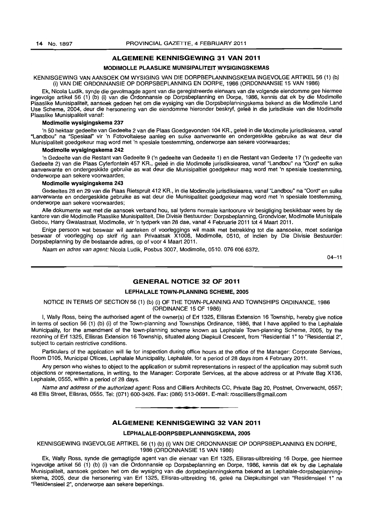# ALGEMENE KENNISGEWING 31 VAN 2011

#### MODIMOLLE PLAASLIKE MUNISIPALITEIT WYSIGINGSKEMAS

KENNISGEWING VAN AANSOEK OM WYSIGING VAN DIE DORPBEPLANNINGSKEMA INGEVOLGE ARTIKEL 56 (1) (b) (i) VAN DIE ORDONNANSIE OP DORPSBEPLANNING EN DORPE, 1986 (ORDONNANSIE 15 VAN 1986)

Ek, Nicola Ludik, synde die gevolmagde agent van die geregistreerde eienaars van die volgende eiendomme gee hiermee ingevolge artikel 56 (1) (b) (i) van die Ordonnansie op Dorpsbeplanning en Dorpe, 1986, kennis dat ek by die Modimolle Plaaslike Munisipaliteit, aansoek gedoen het om die wysiging van die Dorpsbeplanningskema bekend as die Modimolle Land Use Scheme, 2004, deur die hersonering van die eiendomme hieronder beskryf, gelee in die jurisdiksie van die Modimolle Plaaslike Munisipaliteit vanaf:

#### Modimolle wysigingskema 237

'n 50 hektaar gedeelte van Gedeelte 2 van die Plaas Goedgevonden 104 KR., gelee in die Modimolle jurisdiksiearea, vanaf "Landbou" na "Spesiaal" vir 'n Fotovoltaiese aanleg en sulke aanverwante en ondergeskikte gebruike as wat deur die Munisipaliteit goedgekeur mag word met 'n spesiale toestemming, onderworpe aan sekere voorwaardes;

#### Modimolle wysigingskema 242

'n Gedeelte van die Restant van Gedeelte 9 ('n gedeelte van Gedeelte 1) en die Restant van Gedeelte 17 ('n gedeelte van Gedeelte 2) van die Plaas Cyferfontein 457 KR., geleë in die Modimolle jurisdiksiearea, vanaf "Landbou" na "Oord" en sulke aanverwante en ondergeskikte gebruike as wat deur die Munisipaltiet goedgekeur mag word met 'n spesiale toestemming, onderworpe aan sekere voorwaardes;

#### Modimolle wysigingskema 243

Gedeeltes 28 en 29 van die Plaas Rietspruit 412 KR., in die Modimolle jurisdiksiearea, vanaf "Landbou" na "Oord" en sulke aanverwante en ondergeskikte gebruike as wat deur die Munisipaliteit goedgekeur mag word met 'n spesiale toestemming, onderworpe aan sekere voorwaardes;

Aile dokumente wat met die aansoek verband hou, sal tydens normale kantoorure vir besigtiging beskikbaar wees by die kantore van die Modimolle Plaaslike Munisipaliteit, Die Divisie Bestuurder: Dorpsbeplanning, Grondvloer, Modimolle Munisipale Gebou, Harry Gwalastraat, Modimolle, vir 'n tydperk van 28 dae, vanaf 4 Februarie 2011 tot 4 Maart 2011 .

Enige persoon wat beswaar wi! aanteken of voorleggings wi! maak met betrekking tot die aansoeke, moet sodanige beswaar of voorlegging op skrif rig aan Privaatsak X1008, Modimolle, 0510, of indien by Die Divisie Bestuurder: Dorpsbeplanning by die bostaande adres, op of voor 4 Maart 2011.

Naam en adres van agent: Nicola Ludik, Posbus 3007, Modimolle, 0510, 076 606 6372.

 $04 - 11$ 

# GENERAL NOTICE 32 OF 2011

#### LEPHALALE TOWN-PLANNING SCHEME, 2005

NOTICE IN TERMS OF SECTION 56 (1) (b) (i) OF THE TOWN-PLANNING AND TOWNSHIPS ORDINANCE, 1986 (ORDINANCE 15 OF 1986)

I, Wally Ross, being the authorised agent of the owner(s) of Erf 1325, Ellisras Extension 16 Township, hereby give notice in terms of section 56 (1) (b) (i) of the Town-planning and Townships Ordinance, 1986, that I have applied to the Lephalale Municipality, for the amendment of the town-planning scheme known as Lephalale Town-planning Scheme, 2005, by the rezoning of Erf 1325, Ellisras Extension 16 Township, situated along Diepkui! Crescent, from "Residential 1" to "Residential 2", subject to certain restrictive conditions.

Particulars of the application will lie for inspection during office hours at the office of the Manager: Corporate Services, Room D105, Municipal Offices, Lephalale Municipality, Lephalale, for a period of 28 days from 4 February 2011.

Any person who wishes to object to the application or submit representations in respect of the application may submit such objections or representations, in writing, to the Manager: Corporate Services, at the above address or at Private Bag X136, Lephalale, 0555, within a period of 28 days.

Name and address of the authorized agent: Ross and Cilliers Architects CC, Private Bag 20, Postnet, Onverwacht, 0557; 48 Ellis Street, ElUsras, 0555. Tel: (071) 600-3426. Fax: (086) 513-0691. E-mail: rosscilliers@gmail.com **-.** 

# ALGEMENE KENNISGEWING 32 VAN 2011

#### LEPHALALE-DORPSBEPLANNINGSKEMA, 2005

KENNISGEWING INGEVOLGE ARTIKEL 56 (1) (b) (i) VAN DIE ORDONNANSIE OP DORPSBEPLANNING EN DORPE, 1986 (ORDONNANSIE 15 VAN 1986)

Ek, Wally Ross, synde die gemagtigde agent van die eienaar van Erf 1325, Ellisras-uitbreiding 16 Dorpe, gee hiermee ingevolge artikel 56 (1) (b) (i) van die Ordonnansie op Dorpsbeplanning en Dorpe, 1986, kennis dat ek by die Lephalale Munisipaliteit, aansoek gedoen het om die wysiging van die dorpsbeplanningskema bekend as Lephalale-dorpsbeplanningskema, 2005, deur die hersonering van Erf 1325, Ellisras-uitbreiding 16, gelee na Diepkuilsingel van "Residensieel 1" na "Residensieel 2", onderworpe aan sekere beperkings.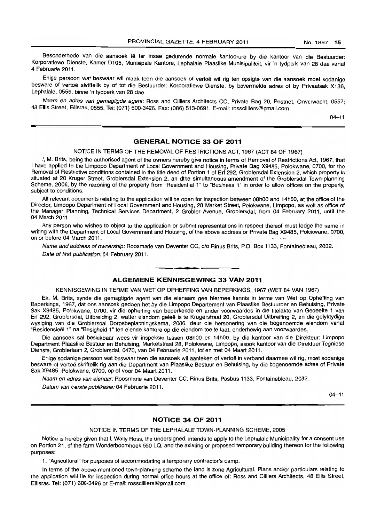Besonderhede van die aansoek lê ter insae gedurende normale kantoorure by die kantoor van die Bestuurder: Korporatiewe Dienste, Kamer D105, Munisipale Kantore, Lephalale Plaaslike Munisipaliteit, vir 'n tydperk van 28 dae vanaf 4 Februarie 2011.

Enige persoon wat beswaar wil maak teen die aansoek of vertoë wil rig ten opsigte van die aansoek moet sodanige besware of vertoë skriftelik by of tot die Bestuurder: Korporatiewe Dienste, by bovermelde adres of by Privaatsak X136, Lephalale, 0555, binne 'n tydperk van 28 dae.

Naam en adres van gemagtigde agent: Ross and Cilliers Architects CC, Private Bag 20, Postnet, Onverwacht, 0557; 48 Ellis Street, Ellisras, 0555. Tel: (071) 600-3426. Fax: (086) 513-0691. E-mail: rosscilliers@gmail.com

04-11

# **GENERAL NOTICE 33 OF 2011**

NOTICE IN TERMS OF THE REMOVAL OF RESTRICTIONS ACT, 1967 (ACT 84 OF 1967)

I, M. Brits, being the authorised agent of the owners hereby give notice in terms of Removal of Restrictions Act, 1967, that I have applied to the Limpopo Department of Local Government and Housing, Private Bag X9485, Polokwane, 0700, for the Removal of Restrictive conditions contained in the title deed of Portion 1 of Erf 292, Groblersdal Extension 2, which property is situated at 20 Kruger Street, Groblersdal Extension 2, an dthe simultaneous amendment of the Groblersdal Town-planning Scheme, 2006, by the rezoning of the property from "Residential 1" to "Business 1" in order to allow offices on the property, subject to conditions.

All relevant documents relating to the application will be open for inspection between 08hOO and 14hOO, at the office of the Director, Limpopo Department of Local Government and Housing, 28 Market Street, Polokwane, Limpopo, as well as office of the Manager Planning, Technical Services Department, 2 Grobler Avenue, Groblersdal, from 04 February 2011, until the 04 March 2011.

Any person who wishes to object to the application or submit representations in respect thereof must lodge the same in writing with the Department of Local Government and Housing, of the above address or Private Bag X9485, Polokwane, 0700, on or before 04 March 2011.  $\overline{a}$ 

Name and address of ownership: Roosmarie van Deventer CC, c/o Rinus Brits, P.O. Box 1133, Fontainebleau, 2032. Date of first publication: 04 February 2011.

#### **ALGEMENE KENNISGEWING 33 VAN 2011**

**• •** 

KENNISGEWING IN TERME VAN WET OP OPHEFFING VAN BEPERKINGS, 1967 (WET 84 VAN 1967)

Ek, M. Brits, synde die gemagtigde agent van die eienaars gee hiermee kennis in terme van Wet op Opheffing van Beperkings, 1967, dat ons aansoek gedoen het by die Limpopo Departement van Plaaslike Bestuurder en Behuising, Private Sak X9485, Polokwane, 0700, vir die opheffing van beperkende en ander voorwaardes in die titelakte van Gedeelte 1 van Erf 292, Groblersdal, Uitbreiding 2, watter eiendom gelee is te Krugerstraat 20, Groblersdal Uitbreifing 2, en die gelyktydige wysiging van die Groblersdal Dorpsbeplanningskema, 2006. deur die hersonering van die bogenoemde eiendom vanaf "Residensieel 1" na "Besigheid 1" ten eiende kantore op die eiendom toe te laat, onderhewig aan voorwaardes.

Die aansoek sal beskikbaar wees vir inspeksie tussen 08hOO en 14hOO, by die kantoor van die Direkteur: Limpopo Department Plaaslike Bestuur en Behuising, Marketstraat 28, Polokwane, Limpopo, asook kantoor van die Direktuer Tegniese Dienste, Groblerlaan 2, Groblersdal, 0470, van 04 Februarie 2011, tot en met 04 Maart 2011.

Enige sodanige persoon wat beswaar teen die aansoek wil aanteken of vertoë in verband daarmee wil rig, moet sodanige besware of vertoe skriftelik rig aan die Department van Plaaslike Bestuur en Behuising, by die bogenoemde adres of Private Sak X9485, Polokwane, 0700, op of voor 04 Maart 2011.

Naam en adres van eienaar: Roosmarie van Deventer CC, Rinus Brits, Posbus 1133, Fontainebleau, 2032.

Datum van eerste publikasie: 04 Februarie 2011.

 $04 - 11$ 

# **NOTICE 34 OF 2011**

#### NOTICE IN TERMS OF THE LEPHALALE TOWN-PLANNING SCHEME, 2005

Notice is hereby given that I, Wally Ross, the undersigned, intends to apply to the Lephalale Municipality for a consent use on Portion 21, of the farm Wonderboomhoek 550 LO, and the existing or proposed temporary building thereon for the following purposes:

1. "Agricultural" for purposes of accommodating a temporary contractor's camp.

In terms of the above-mentioned town-planning scheme the land is zone Agricultural. Plans and/or particulars relating to the application will lie for inspection during normal office hours at the office of: Ross and Cilliers Architects, 48 Ellis Street, Ellisras. Tel: (071) 600-3426 or E-mail: rosscilliers@gmail.com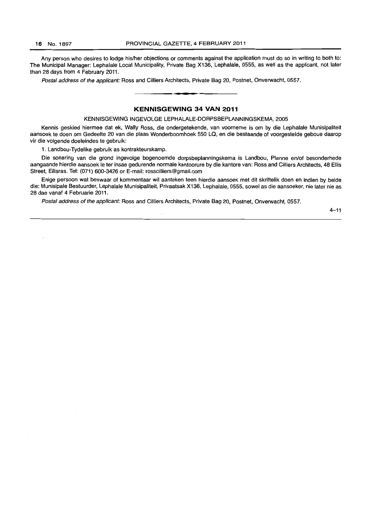Any person who desires to lodge his/her objections or comments against the application must do so in writing to both to: The Municipal Manager: Lephalale Local Municipality, Private Bag X136, Lephalale, 0555, as well as the applicant, not later than 28 days from 4 February 2011.

Postal address of the applicant: Ross and Cilliers Architects, Private Bag 20, Postnet, Onverwacht, 0557.

# **KENNISGEWING 34 VAN 2011**

KENNISGEWING INGEVOLGE LEPHALALE-DORPSBEPLANNINGSKEMA, 2005

Kennis geskied hiermee dat ek, Wally Ross, die ondergetekende, van voorneme is om by die Lephalale Munisipaliteit aansoek te doen om Gedeelte 20 van die plaas Wonderboomhoek 550 La, en die bestaande of voorgestelde geboue daarop vir die volgende doeleindes te gebruik:

1. Landbou-Tydelike gebruik as kontrakteurskamp.

Die sonering van die grond ingevolge bogenoemde dorpsbeplanningskema is Landbou, Planne en/of besonderhede aangaande hierdie aansoek Ie ter insae gedurende normale kantoorure by die kantore van: Ross and Cilliers Architects, 48 Ellis Street, Ellisras. Tel: (071) 600-3426 or E-mail: rosscilliers@gmail.com

Enige persoon wat beswaar of kommentaar wi! aanteken teen hierdie aansoek met dit skriftelik doen en indien by beide die: Munisipale Bestuurder, Lephalale Munisipaliteit, Privaatsak X136, Lephalale, 0555, sowel as die aansoeker, nie later nie as 28 dae vanaf 4 Februarie **2011** .

Postal address of the applicant: Ross and Cilliers Architects, Private Bag 20, Postnet, Onverwacht, 0557.

 $4 - 11$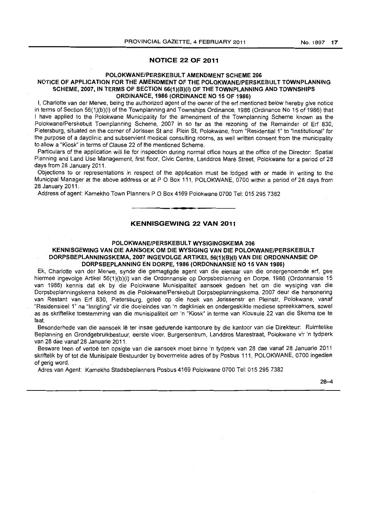# **NOTICE 22 OF 2011**

#### POLOKWANE/PERSKEBULT AMENDMENT SCHEME 206

# NOTICE OF APPLICATION FOR THE AMENDMENT OF THE POLOKWANE/PERSKEBUL T TOWNPLANNING SCHEME, 2007, IN TERMS OF SECTION 56(1)(B)(I) OF THE TOWNPLANNING AND TOWNSHIPS ORDINANCE, 1986 (ORDINANCE NO 15 OF 1986)

I, Charlotte van der Merwe, being the authorized agent of the owner of the erf mentioned below hereby give notice in terms of Section 56(1)(b)(i) of the Townplanning and Townships Ordinance, 1986 {Ordinance No 15 of 1986} that I have applied to the Polokwane Municipality for the amendment of the Townplanning Scheme known as the Polokwane/Perskebult Townplanning Scheme, 2007 in so far as the rezoning of the Remainder of Ert 830, Pietersburg, situated on the corner of Jorissen St and Plein St, Polokwane, from "Residential 1" to "Institutional" for the purpose of a dayclinic and subservient medical consulting rooms, as well written consent from the municipality to allow a "Kiosk" in terms of Clause 22 of the mentioned Scheme.

Particulars of the application will lie for inspection during normal office hours at the office of the Director: Spatial Planning and Land Use Management. first floor, Civic Centre, Landdros Mare Street, Polokwane for a period of 28 days from 28 January 2011.

Objections to or representations in respect of the application must be lodged with or made in writing to the Municipal Manager at the above address or at P O Box 111, POLOKWANE, 0700 within a period of 28 days from 28 January 2011.

Address of agent: Kamekho Town Planners POBox 4169 Polokwane 0700 Tel: 0152957382

# **KENNISGEWING 22 VAN 2011**

**-**

# POLOKWANE/PERSKEBULT WYSIGINGSKEMA 206

# KENNISGEWING VAN DIE AANSOEK OM DIE WYSIGING VAN DIE POLOKWANE/PERSKEBULT DORPSBEPLANNINGSKEMA, 2007 INGEVOLGE ARTIKEL 56(1)(B)(I) VAN DIE ORDONNANSIE OP DORPSBEPLANNING EN DORPE, 1986 (ORDONNANSIE NO 15 VAN 1986)

Ek, Charlotte van der Merwe, synde die gemagtigde agent van die eienaar van die ondergenoemde erf, gee hiermee ingevolge Artikel 56(1)(b)(i) van die Ordonnansie op Dorpsbeplanning en Dorpe, 1986 (Ordonnansie 15 van 1986) kennis dat ek by die Polokwane Munisipaliteit aansoek gedoen het om die wysiging van die Dorpsbeplanningskema bekend as die Polokwane/Perskebult Dorpsbeplanningskema, 2007 deur die hersonering van Restant van Erf 830, Pietersburg, gelee op die hoek van Jorissenstr en Pleinstr, Polokwane, vanaf "Residensieel. 1" na "Inrigting" vir die doeleindes van 'n dagkliniek en ondergeskikte mediese spreekkamers, sowel . as as skriftelike toestemming van die munisipaliteit om 'n "Kiosk" in terme van Klousule 22 van die Skema toe te laat.

Besonderhede van die aansoek lê ter insae gedurende kantoorure by die kantoor van die Direkteur: Ruimtelike Beplanning en Grondgebruikbestuur, eerste vloer, Burgersentrum, Landdros Marestraat, Polokwane vir 'n tydperk van 28 dae vanaf 28 Januarie 2011.

Besware teen of vertoë ten opsigte van die aansoek moet binne 'n tydperk van 28 dae vanaf 28 Januarie 2011 skriftelik by of tot die Munisipale Bestuurder by bovermelde adres of by Posbus 111, POLOKWANE, 0700 ingedien of gerig word.

Adres van Agent: Kamekho Stadsbeplanners Posbus 4169 Polokwane 0700 Tel: 0152957382

28-4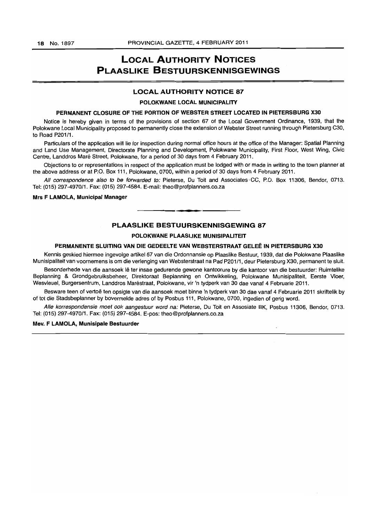# **LOCAL AUTHORITY NOTICES** PLAASLIKE BESTUURSKENNISGEWINGS

# LOCAL AUTHORITV NOTICE 87

POLOKWANE LOCAL MUNICIPALITY

#### PERMANENT CLOSURE OF THE PORTION OF WEBSTER STREET LOCATED IN PIETERSBURG X30

Notice is hereby given in terms of the provisions of section 67 of the Local Government Ordinance, 1939, that the Polokwane Local Municipality proposed to permanently close the extension of Webster Street running through Pietersburg C30, to Road P201/1.

Particulars of the application will lie for inspection during normal office hours at the office of the Manager: Spatial Planning and Land Use Management, Directorate Planning and Development, Polokwane Municipality, First Floor, West Wing, Civic Centre, Landdros Mare Street, Polokwane, for a period of 30 days from 4 February 2011.

Objections to or representations in respect of the application must be lodged with or made in writing to the town planner at the above address or at P.O. Box 111, Polokwane, 0700, within a period of 30 days from 4 February 2011.

All correspondence also to be forwarded to: Pieterse, Du Toit and Associates CC, P.O. Box 11306, Bendor, 0713. Tel: (015) 297-497011. Fax: (015) 297-4584. E-mail: theo@profplanners.co.za

#### Mrs F LAMOLA, Municipal Manager

#### PLAASLIKE BESTUURSKENNISGEWING 87

I **\_ •** 

#### POLOKWANE PLAASLIKE MUNISIPALITEIT

# PERMANENTE SLUITING VAN DIE GEDEELTE VAN WEBSTERSTRAAT GELEE IN PIETERSBURG X30

Kennis geskied hiermee ingevolge artikel 67 van die Ordonnansie op Plaaslike Bestuur, 1939, dat die Polokwane Plaaslike Munisipaliteit van voornemens is om die verlenging van Websterstraat na Pad P201/1, deur Pietersburg X30, permanent te sluit.

Besonderhede van die aansoek lê ter insae gedurende gewone kantoorure by die kantoor van die bestuurder: Ruimtelike Beplanning & Grondgebruiksbeheer, Direktoraat Beplanning en Ontwikkeling, Polokwane Munisipaliteit, Eerste Vlaer, Wesvleuel, Burgersentrum, Landdros Maréstraat, Polokwane, vir 'n tydperk van 30 dae vanaf 4 Februarie 2011.

Besware teen of vertoë ten opsigte van die aansoek moet binne 'n tydperk van 30 dae vanaf 4 Februarie 2011 skriftelik by of tot die Stadsbeplanner by bovermelde adres of by Posbus 111, Polokwane, 0700, ingedien of gerig word.

Aile korrespondensie moet ook aangestuur word na: Pieterse, Du Toit en Assosiate BK, Posbus 11306, Bendor, 0713. Tel: (015) 297-4970/1. Fax: (015) 297-4584. E-pos: theo@profplaoners.co.za

#### Mev. F LAMOLA, Munisipale Bestuurder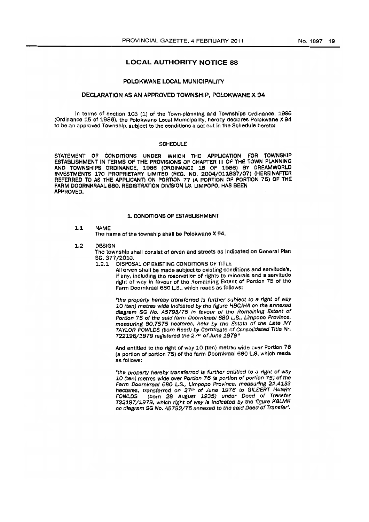# LOCAL AUTHORITY NOTICE 88

#### POLOKWANE LOCAL MUNICIPALITY

#### DECLARATION AS AN APPROVED TOWNSHIP, POLOKWANE X 94

In terms of section 103 (1) of the Town-planning and Townships Ordinance, 1986 (Ordinance 15 of 1986), the Polokwane Local Municipality, hereby declares Polokwane X 94 to be an approved Township, subject to the conditions a set out in the Schedule hereto:

#### SCHEDULE

STATEMENT OF CONDITIONS UNDER WHICH THE APPLICATION FOR TOWNSHIP ESTABLISHMENT IN TERMS OF THE PROVISIONS OF CHAPTER III OF THE TOWN PLANNING AND TOWNSHIPS ORDINANCE, 1986 (ORDINANCE 16 OF 1986) BY DREAMWORI.D INVESTMENTS 170 PROPRIETARY UMITEO (REG. NO. 2004/011837/07) {HEREINAFTER REFERRED TO AS THE APPLICANT) ON PORTION 77 (A PORTION OF PORTION 75) OF THE FARM DOORNKRAAL 680, REGISTRATION DIVISION LS, LIMPOPO, HAS BEEN APPROVED.

#### 1. CONDITIONS OF ESTABLISHMENT

#### 1.1 NAME

The name of the township shall be Polokwane X 94,

#### 1.2 OESIGN

The township shall consist of erven and streets as Indicated on General Plan SG. 377/2010.

1.2.1 DISPOSAL OF eXISTING CONDITIONS OF TITLE

All erven shall be made subject to existing conditions and servitude's. if any, including the reservation of rights to minorals and a servitude right of way In favour 01 the Remaining Extent of Portion 76 of the Farm Doornkraal 680 L.S., which reads as follows:

"the property hereby transferred is further subject to a right of way 10 (ten) metres wide indicated by the figure HBCJHA on the annexed diagram SG No. A5793/75 in favour of the Remaining Extent of Portton 75 of the said farm Doomkrael 6BO L.S., Limpopo Province. measuring 80.7575 hectares, held by the Estate of the Late IVY TAYLOR FOWLDS (born Reed) by Certificate of Consolidated Title Nr. T22196/1979 registered the 271n of June 1979'"

And entitled to the right of way 10 (ten) metres wide over Portion 76 (a portion of portion  $75$ ) of the farm Doornkraal 680 L.S. which reads as follows;

"the property hereby transferred is further entitied to a right of way 10 (ten) metres wide over Portion 76 (a portion of portion 75) of the Farm Doornkraal 680 L.S., Limpopo Province, measuring 21,4133 hectares, transferred on 27<sup>th</sup> of June 1976 to GILBERT HENRY<br>FOWLDS (horn 28 August 1935) under Deed of Transfer FOWLDS (born 28 August 1935) under Deed of Transfer T22197/1979, which right of way is indicated by the figure KBLMK on diagram SG No. A5792/75 annexed to the said Deed of Transfer".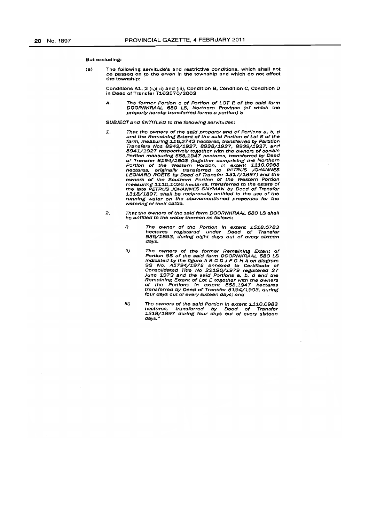#### But excluding:

(a) Tho following sarvftude's and restrictive conditions, whioh shall not be passed on to the erven in the township and which do not effect the township:

Conditions A1, 2 (I.)( ii) and (iii), Condition B, Condition C, Condition D<br>in Deed of Transfer T163570/2003

A. The former Portion c of Portion of LOT E of the said farm DOORNKRAAL 680 LS, Northern Province (of which the <br>property hereby transferred forms a portion) is

#### SUBJEOT and ENTITLED to the following servitudes:

- 1. That the owners of the said property and of Portions a, b, d and rhe Remaining Extent of' the said Portion of Lot E of the farm, measurIng :1.16,2742 hectares, tranSferred t)y PtJrtltlon Transfers Nos 8942/1927, 8938/1927, 8939/1927, and<br>8941/1927 respectively together with the owners of certain<br>Portion measuring 558,1947 hectares, transferred by Deed<br>of Transfer 8194/1903 (together comprising the Northern measuring 1110,1026 hectares, transferred to the estate of<br>the late PETRUS JOHANNES SNYMAN by Deed of Transfer<br>1318/1897, shall be reciprocally entitled to the use of the<br>running water on the abovementioned properties for watering of their cattle.
- 2. That the owners of the said farm DOORNKRAAL 680 LS shall be entitled to the water thereon as follows:
	- I) The owner of the Portion in extent 1518,6783<br>hectares registered under Deed of Transfer<br>935/1893, during eight days out of every sixteen days.
	- II) Tho owners of the former Remaining Extent of<br>Portion 58 of the said farm DOORNKRAAL 680 LS Indicated by the figure ABC D J F G H A on diagram<br>SG No. A5794/1975 annexed to Certificate of<br>Consolidated Title No 22196/1979 reglstered 27 June 1979 and the said Portlons a, b, d and the<br>Remaining Extent of Lot £ together with the owners of the Portions in extent 558,1947 hectares<br>transferred by Deed of Transfer 81.94/1903, during<br>four days out of every sixteen days; and
	- III) The owners of the said Portion in extent 1110,0983 hectares, transferred by Deod of Transfer<br>1318/1897 during four days out of every sixteen days."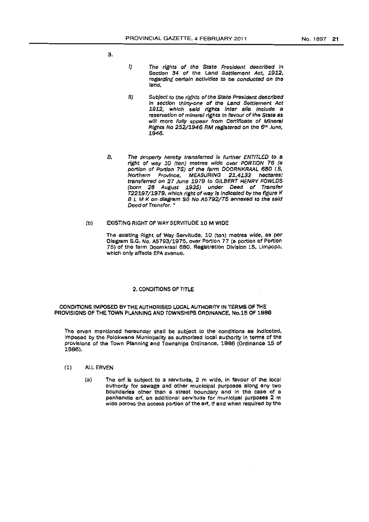3.

- ') The rights of the State Pres/dent descrIbed In Section 34 of the Land Settlement Act, 1912, regarding certain activities to be conducted on the land.
- *11)* Subject to the rights of the State President described In section thirty-one of the Land Settlement Act 1912, which *S81d* rights 'nter ails InoJude a reservation of mineral rights in favour of the State as will more fully appear from Certificate of Mineral RIghts No 252/1946 RM regIstered on the 6*tl'* June, 1948.
- B. The property hereby transferred is further ENTITLED to a right of way 10 (ten) metres wide over PORTION 76 (a portion of Portion 75) of the farm DOORNKRAAL 680 LS, Northern Province, MEASURING 21,4133 hectares: transferred on 27 June 1979 to GILBERT HENRY FOWLDS (born 28 August 1935) under Deed of Transfer T22197/1979, which right of way is indicated by the figure K B L M K on diagram SG No A5792/75 annexed to the said Deed of Transfer. •
- (b) EXISTING RIGHT OF WAY SERVITUDE 10 M WIDE
	- The existing Right of Way Servitude, 10 (ten) metres wide, as per Olagram S.G. No. A5793/1975, over Portion 77 (a portion of Portion 75) of the farm Doornkraal 680, Registration Division LS, Limpopo, which only affects EPA avenue.

#### 2. CONDITIONS OF TITLE

CONDITIONS IMPOSED BY THE AUTHORISED LOCAL AUTHORITY IN TERMS OF THE PROVISIONS OF THE TOWN PLANNING ANO TOWNSHIPS ORDINANCE, No.15 OF 19Se

The erven mentioned hereunder shall be subject to the conditions as indicated, Imposed by the Polokwane Municipality as authorised local authority in terms of the provisions of the Town Planning and Townships Ordinance. 1986 (Ordinance 15 of 1986).

- (1) ALL ERVEN
	- (a) The erf is subject to a servitude, 2 m wlda, In favour of the local authority for sewage and other municipal purposes along any two boundaries other than a streot boundary and In the case of a panhandle erf, an additional servitude for municipal purposes 2 m wide across the access portion of the erf, if and when required by the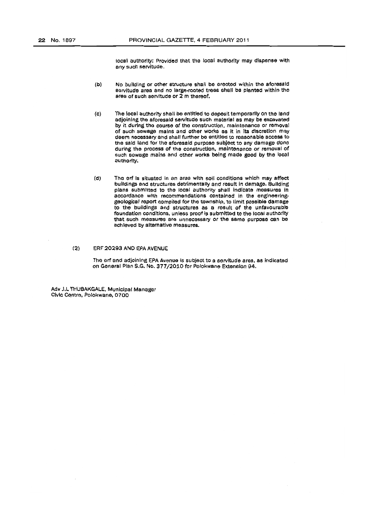tOCBI authority; Provided that the local authority may dispense with any such servitude.

- (b) No building or other structure shall be erected within the aforesaid servitude area and no large-rooted trees Ghall be planted within the area of such servitude or  $2 \text{ m}$  thereof.
- (c) ihe local authority shall be entitled to deposit temporarily on the land adjoining the aforesaid servitude such material as may be excavated by it during tho course of the construction, malntenanoe or removal of such sewage mains and other works as it in its discretion may deem necessary and shall further be entitled to reasonable access to the said land for the aforesaid purpose subject to any damage done during the process of the construction, maintenance or removal of such sowage mains and other works being made good by the local authority.
- (d) The erf is situated in an area with soil conditions which may affect buildings and structures detrimentally and result in damage. Building plans submitted to the local authority shall indicate measures in accordance with recommendations contained in the engineeringgeological report compiled for the township. to limit possible damage to the buildings and struotures as a result of the unfaVOurable foundation conditions, unless proof is submitted to the local authority that such measures are unnecessary Ot the same purpose oan be achieved by alternative measures.

# (2) ERF 20293 AND EPA AVENUE

The erf and adjoining EPA Avenue is subject to a servitude area, as indicated on General Plan S.G. No. 377/2010 for Polokwane Extension 94.

Adv J.1. THUBAKGALE, MunicIpal Manager Civic Centre, Polokwane, 0700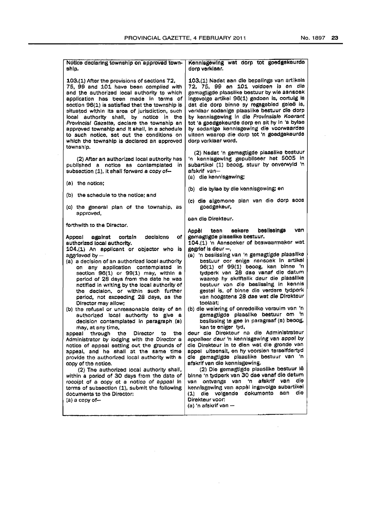$\sim$ 

 $\sim 10^{-10}$ 

 $\sim 10^{-1}$ 

| Notice declaring township on approved town-<br>ship,                                                                                                                                                                                                                                                                                                                                                                                                                                                                                                                                                                                                                                                                                                                                                                                                                                                                                                                                                                                                                                                    | Kennisgewing wat dorp tot goedgekeurde<br>dorp verklaar.                                                                                                                                                                                                                                                                                                                                                                                                                                                                                                                                                                                                                                                                                                                                                                                                                                                                                                                                                                                                                                                                                         |  |  |
|---------------------------------------------------------------------------------------------------------------------------------------------------------------------------------------------------------------------------------------------------------------------------------------------------------------------------------------------------------------------------------------------------------------------------------------------------------------------------------------------------------------------------------------------------------------------------------------------------------------------------------------------------------------------------------------------------------------------------------------------------------------------------------------------------------------------------------------------------------------------------------------------------------------------------------------------------------------------------------------------------------------------------------------------------------------------------------------------------------|--------------------------------------------------------------------------------------------------------------------------------------------------------------------------------------------------------------------------------------------------------------------------------------------------------------------------------------------------------------------------------------------------------------------------------------------------------------------------------------------------------------------------------------------------------------------------------------------------------------------------------------------------------------------------------------------------------------------------------------------------------------------------------------------------------------------------------------------------------------------------------------------------------------------------------------------------------------------------------------------------------------------------------------------------------------------------------------------------------------------------------------------------|--|--|
| 103.(1) After the provisions of sections 72.<br>75, 99 and 101 have been complied with<br>and the authorized local authority to which<br>application has been made in terms of<br>section 96(1) is satisfied that the township is<br>situated within its area of jurisdiction, such<br>local authority shall, by notice in the<br>Provincial Gazette, declare the township an<br>approved township and it shall, in a schedule<br>to such notice, set out the conditions on<br>which the township is declared an approved<br>township.                                                                                                                                                                                                                                                                                                                                                                                                                                                                                                                                                                  | 103.(1) Nadat aan die bepalings van artikels<br>72, 75, 99 en 101 voldoen is en die<br>gemagtigde plaaslike bestuur by wie aansoek<br>Ingevolge artikel 96(1) gedoen is, cortuig is<br>dat die dorp binne sy regagebied geleë is,<br>verklaar sodanige plaaslike bestuur die dorp<br>by kennisgewing in die Provinslale Koerant<br>tot 'a goedgekeurde dorp en sit hy in 'a bylae<br>by sodanige kennisgewing die voorwaardes<br>ulteen waarop die dorp tot 'n goedgekeurde<br>dorp verklaar word.                                                                                                                                                                                                                                                                                                                                                                                                                                                                                                                                                                                                                                               |  |  |
| (2) After an authorized local authority has<br>published a notice as contemplated in<br>subsection (1), it shall forward a copy of-                                                                                                                                                                                                                                                                                                                                                                                                                                                                                                                                                                                                                                                                                                                                                                                                                                                                                                                                                                     | (2) Nadat 'n gemagtigde plaaslike bestuur<br>'n kennisgewing gepubliseer het 5005 in<br>subartikel (1) beoog, stuur by onverwyld 'n<br>afskrif van-<br>(a) die kennisgewing;                                                                                                                                                                                                                                                                                                                                                                                                                                                                                                                                                                                                                                                                                                                                                                                                                                                                                                                                                                     |  |  |
| $(a)$ the notice;                                                                                                                                                                                                                                                                                                                                                                                                                                                                                                                                                                                                                                                                                                                                                                                                                                                                                                                                                                                                                                                                                       | (b) die bylae by die kennisgewing; en                                                                                                                                                                                                                                                                                                                                                                                                                                                                                                                                                                                                                                                                                                                                                                                                                                                                                                                                                                                                                                                                                                            |  |  |
| (b) the schedule to the notice; and<br>(c) the general plan of the township, as<br>approved,                                                                                                                                                                                                                                                                                                                                                                                                                                                                                                                                                                                                                                                                                                                                                                                                                                                                                                                                                                                                            | (c) die algemene plan van die dorp soos<br>goedgekeur,                                                                                                                                                                                                                                                                                                                                                                                                                                                                                                                                                                                                                                                                                                                                                                                                                                                                                                                                                                                                                                                                                           |  |  |
| forthwith to the Director.                                                                                                                                                                                                                                                                                                                                                                                                                                                                                                                                                                                                                                                                                                                                                                                                                                                                                                                                                                                                                                                                              | pan die Direkteur.                                                                                                                                                                                                                                                                                                                                                                                                                                                                                                                                                                                                                                                                                                                                                                                                                                                                                                                                                                                                                                                                                                                               |  |  |
| decisions<br>of I<br>certain<br>Appeal<br>against<br>authorized local authority.<br>104.(1) An applicant or objector who is<br>aggrieved by -<br>(a) a decision of an authorized local authority<br>any application contemplated in<br>on<br>section 96(1) or 99(1) may, within a<br>period of 28 days from the date he was<br>notified in writing by the local authority of<br>the decision, or within such further<br>period, not exceeding 28 days, as the<br>Director may allow:<br>(b) the refusal or unreasonable delay of an<br>authorized local authority to give a<br>decision contemplated in paragraph (a)<br>may, at any time,<br>appeal through<br>tho<br>Director<br>the<br>to<br>Administrator by lodging with the Director a<br>notice of appeal setting out the grounds of<br>appeal, and he shall at the same time<br>provide the authorized local authority with a<br>copy of the notice.<br>(2) The authorized local authority shall,<br>within a period of 30 days from the date of<br>rocolpt of a copy ot a notice of appeal in<br>terms of subsection (1), submit the following | besilssings<br>van<br>sekere<br>Appêl<br>teen<br>gemagtigde plaaslike bestuur.<br>104.(1) 'n Aansoeker of beswaarmaker wat<br>gegrief is dour $-$ ,<br>(a) 'n beslissing van 'n gemagtigde plaaslike<br>bestuur oor enige nansoak in artikel<br>96(1) of 99(1) beoog, kan binne 'n<br>tydperk van 28 dae vanaf die datum<br>waarop hy skriftelik deur die plaaslike<br>bestuur van die beslissing in kennis<br>gestel is, of binne die verdere tydperk<br>van hoogstens 28 dae wat die Direkteur<br>toolaat:<br>(b) die weiering of onredelike versuim van 'n<br>gemagtigde plaaslike bestuur om 'n<br>beslissing to gee in paragraaf (a) beoog.<br>kan te eniger tyd,<br>deur die Direkteur na die Administrateur<br>appelleer deur 'n kennisgewing van appel by<br>die Direkteur in to dien wat die gronde van<br>appel ulteensit, en hy voorsien terselfdertyd<br>die gemagtigde plaaslike bestuur van 'n<br>afskrif van die kennisgewing.<br>(2) Die gemagtigde plaaslike bestuur iê<br>binne 'n tydperk van 30 dae vanaf die datum<br>die<br>afskrif<br>van<br>ontvangs<br>'n.<br>van<br>van<br>kennisgewing van appèl ingevolge subartikel |  |  |
| documents to the Director:<br>(a) a copy of—                                                                                                                                                                                                                                                                                                                                                                                                                                                                                                                                                                                                                                                                                                                                                                                                                                                                                                                                                                                                                                                            | die<br>aan<br>(1) die volgende dokumente<br>Direkteur voor:<br>(a) 'n afskrif van --                                                                                                                                                                                                                                                                                                                                                                                                                                                                                                                                                                                                                                                                                                                                                                                                                                                                                                                                                                                                                                                             |  |  |

 $\sim 10^{-1}$